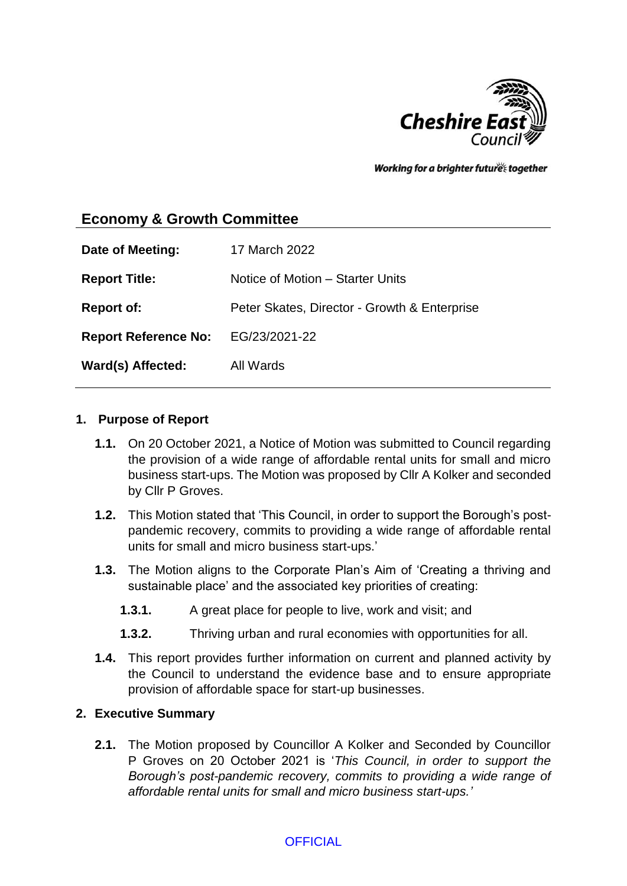

Working for a brighter futures together

# **Economy & Growth Committee**

| Date of Meeting:            | 17 March 2022                                |
|-----------------------------|----------------------------------------------|
| <b>Report Title:</b>        | Notice of Motion - Starter Units             |
| <b>Report of:</b>           | Peter Skates, Director - Growth & Enterprise |
| <b>Report Reference No:</b> | EG/23/2021-22                                |
| Ward(s) Affected:           | All Wards                                    |

#### **1. Purpose of Report**

- **1.1.** On 20 October 2021, a Notice of Motion was submitted to Council regarding the provision of a wide range of affordable rental units for small and micro business start-ups. The Motion was proposed by Cllr A Kolker and seconded by Cllr P Groves.
- **1.2.** This Motion stated that 'This Council, in order to support the Borough's postpandemic recovery, commits to providing a wide range of affordable rental units for small and micro business start-ups.'
- **1.3.** The Motion aligns to the Corporate Plan's Aim of 'Creating a thriving and sustainable place' and the associated key priorities of creating:
	- **1.3.1.** A great place for people to live, work and visit; and
	- **1.3.2.** Thriving urban and rural economies with opportunities for all.
- **1.4.** This report provides further information on current and planned activity by the Council to understand the evidence base and to ensure appropriate provision of affordable space for start-up businesses.

#### **2. Executive Summary**

**2.1.** The Motion proposed by Councillor A Kolker and Seconded by Councillor P Groves on 20 October 2021 is '*This Council, in order to support the Borough's post-pandemic recovery, commits to providing a wide range of affordable rental units for small and micro business start-ups.'*

#### **OFFICIAL**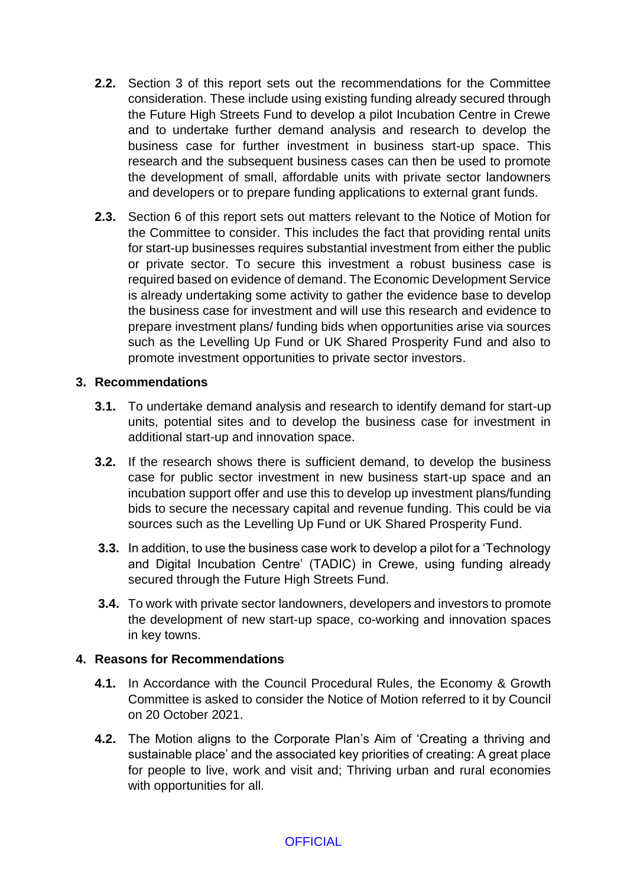- **2.2.** Section 3 of this report sets out the recommendations for the Committee consideration. These include using existing funding already secured through the Future High Streets Fund to develop a pilot Incubation Centre in Crewe and to undertake further demand analysis and research to develop the business case for further investment in business start-up space. This research and the subsequent business cases can then be used to promote the development of small, affordable units with private sector landowners and developers or to prepare funding applications to external grant funds.
- **2.3.** Section 6 of this report sets out matters relevant to the Notice of Motion for the Committee to consider. This includes the fact that providing rental units for start-up businesses requires substantial investment from either the public or private sector. To secure this investment a robust business case is required based on evidence of demand. The Economic Development Service is already undertaking some activity to gather the evidence base to develop the business case for investment and will use this research and evidence to prepare investment plans/ funding bids when opportunities arise via sources such as the Levelling Up Fund or UK Shared Prosperity Fund and also to promote investment opportunities to private sector investors.

#### **3. Recommendations**

- **3.1.** To undertake demand analysis and research to identify demand for start-up units, potential sites and to develop the business case for investment in additional start-up and innovation space.
- **3.2.** If the research shows there is sufficient demand, to develop the business case for public sector investment in new business start-up space and an incubation support offer and use this to develop up investment plans/funding bids to secure the necessary capital and revenue funding. This could be via sources such as the Levelling Up Fund or UK Shared Prosperity Fund.
- **3.3.** In addition, to use the business case work to develop a pilot for a 'Technology and Digital Incubation Centre' (TADIC) in Crewe, using funding already secured through the Future High Streets Fund.
- **3.4.** To work with private sector landowners, developers and investors to promote the development of new start-up space, co-working and innovation spaces in key towns.

#### **4. Reasons for Recommendations**

- **4.1.** In Accordance with the Council Procedural Rules, the Economy & Growth Committee is asked to consider the Notice of Motion referred to it by Council on 20 October 2021.
- **4.2.** The Motion aligns to the Corporate Plan's Aim of 'Creating a thriving and sustainable place' and the associated key priorities of creating: A great place for people to live, work and visit and; Thriving urban and rural economies with opportunities for all.

**OFFICIAL**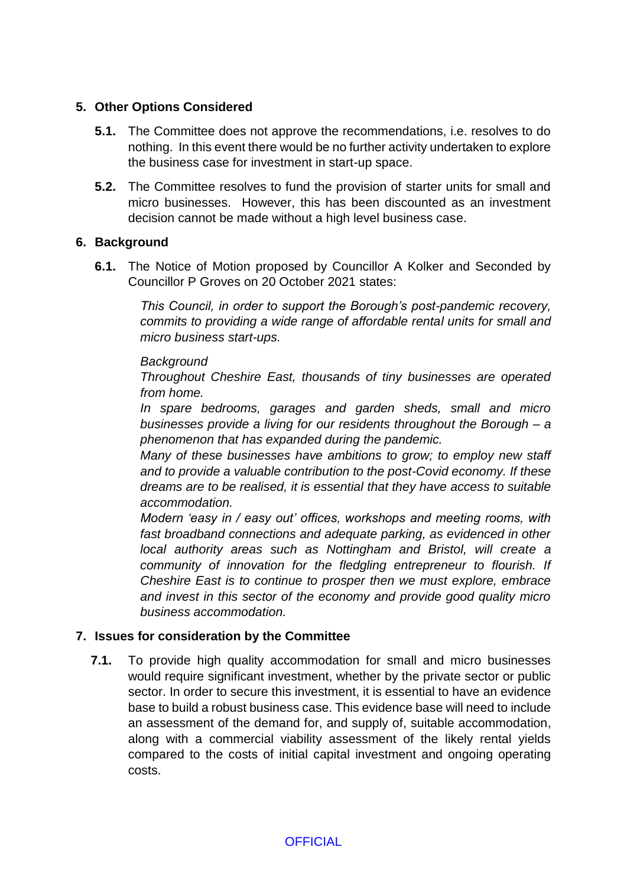### **5. Other Options Considered**

- **5.1.** The Committee does not approve the recommendations, i.e. resolves to do nothing. In this event there would be no further activity undertaken to explore the business case for investment in start-up space.
- **5.2.** The Committee resolves to fund the provision of starter units for small and micro businesses. However, this has been discounted as an investment decision cannot be made without a high level business case.

### **6. Background**

**6.1.** The Notice of Motion proposed by Councillor A Kolker and Seconded by Councillor P Groves on 20 October 2021 states:

> *This Council, in order to support the Borough's post-pandemic recovery, commits to providing a wide range of affordable rental units for small and micro business start-ups.*

### *Background*

*Throughout Cheshire East, thousands of tiny businesses are operated from home.* 

*In spare bedrooms, garages and garden sheds, small and micro businesses provide a living for our residents throughout the Borough – a phenomenon that has expanded during the pandemic.* 

*Many of these businesses have ambitions to grow; to employ new staff and to provide a valuable contribution to the post-Covid economy. If these dreams are to be realised, it is essential that they have access to suitable accommodation.* 

*Modern 'easy in / easy out' offices, workshops and meeting rooms, with fast broadband connections and adequate parking, as evidenced in other local authority areas such as Nottingham and Bristol, will create a community of innovation for the fledgling entrepreneur to flourish. If Cheshire East is to continue to prosper then we must explore, embrace and invest in this sector of the economy and provide good quality micro business accommodation.*

# **7. Issues for consideration by the Committee**

**7.1.** To provide high quality accommodation for small and micro businesses would require significant investment, whether by the private sector or public sector. In order to secure this investment, it is essential to have an evidence base to build a robust business case. This evidence base will need to include an assessment of the demand for, and supply of, suitable accommodation, along with a commercial viability assessment of the likely rental yields compared to the costs of initial capital investment and ongoing operating costs.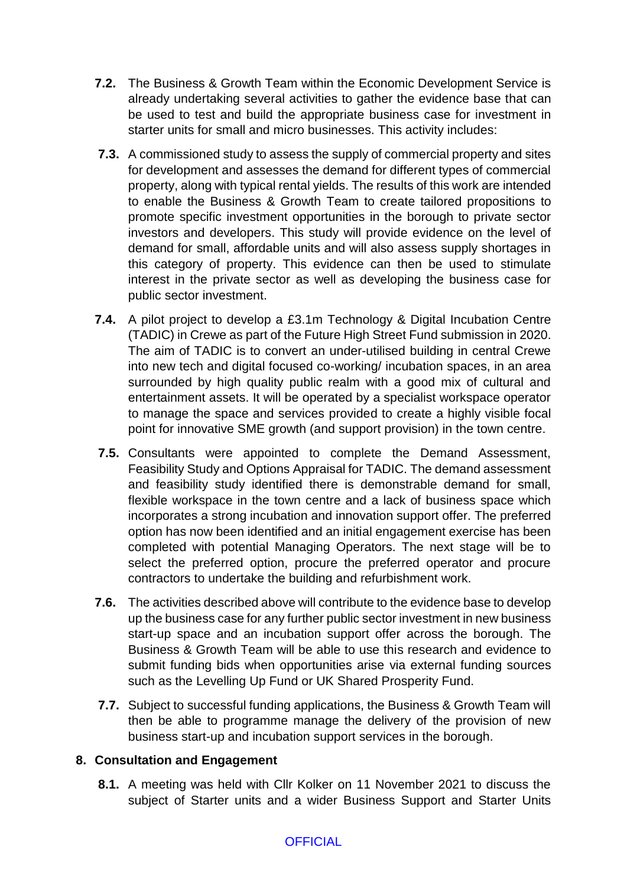- **7.2.** The Business & Growth Team within the Economic Development Service is already undertaking several activities to gather the evidence base that can be used to test and build the appropriate business case for investment in starter units for small and micro businesses. This activity includes:
- **7.3.** A commissioned study to assess the supply of commercial property and sites for development and assesses the demand for different types of commercial property, along with typical rental yields. The results of this work are intended to enable the Business & Growth Team to create tailored propositions to promote specific investment opportunities in the borough to private sector investors and developers. This study will provide evidence on the level of demand for small, affordable units and will also assess supply shortages in this category of property. This evidence can then be used to stimulate interest in the private sector as well as developing the business case for public sector investment.
- **7.4.** A pilot project to develop a £3.1m Technology & Digital Incubation Centre (TADIC) in Crewe as part of the Future High Street Fund submission in 2020. The aim of TADIC is to convert an under-utilised building in central Crewe into new tech and digital focused co-working/ incubation spaces, in an area surrounded by high quality public realm with a good mix of cultural and entertainment assets. It will be operated by a specialist workspace operator to manage the space and services provided to create a highly visible focal point for innovative SME growth (and support provision) in the town centre.
- **7.5.** Consultants were appointed to complete the Demand Assessment, Feasibility Study and Options Appraisal for TADIC. The demand assessment and feasibility study identified there is demonstrable demand for small, flexible workspace in the town centre and a lack of business space which incorporates a strong incubation and innovation support offer. The preferred option has now been identified and an initial engagement exercise has been completed with potential Managing Operators. The next stage will be to select the preferred option, procure the preferred operator and procure contractors to undertake the building and refurbishment work.
- **7.6.** The activities described above will contribute to the evidence base to develop up the business case for any further public sector investment in new business start-up space and an incubation support offer across the borough. The Business & Growth Team will be able to use this research and evidence to submit funding bids when opportunities arise via external funding sources such as the Levelling Up Fund or UK Shared Prosperity Fund.
- **7.7.** Subject to successful funding applications, the Business & Growth Team will then be able to programme manage the delivery of the provision of new business start-up and incubation support services in the borough.

#### **8. Consultation and Engagement**

**8.1.** A meeting was held with Cllr Kolker on 11 November 2021 to discuss the subject of Starter units and a wider Business Support and Starter Units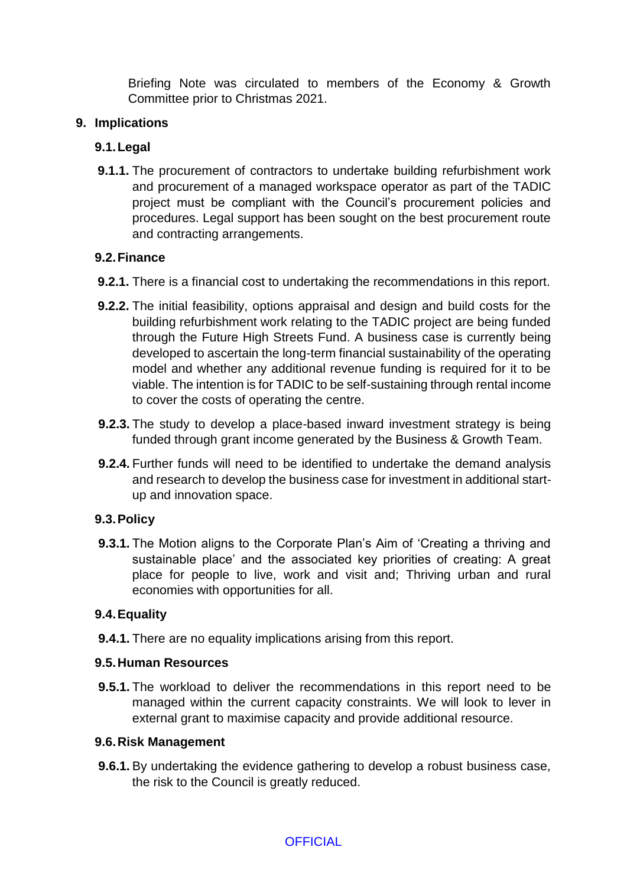Briefing Note was circulated to members of the Economy & Growth Committee prior to Christmas 2021.

### **9. Implications**

# **9.1.Legal**

**9.1.1.** The procurement of contractors to undertake building refurbishment work and procurement of a managed workspace operator as part of the TADIC project must be compliant with the Council's procurement policies and procedures. Legal support has been sought on the best procurement route and contracting arrangements.

# **9.2.Finance**

- **9.2.1.** There is a financial cost to undertaking the recommendations in this report.
- **9.2.2.** The initial feasibility, options appraisal and design and build costs for the building refurbishment work relating to the TADIC project are being funded through the Future High Streets Fund. A business case is currently being developed to ascertain the long-term financial sustainability of the operating model and whether any additional revenue funding is required for it to be viable. The intention is for TADIC to be self-sustaining through rental income to cover the costs of operating the centre.
- **9.2.3.** The study to develop a place-based inward investment strategy is being funded through grant income generated by the Business & Growth Team.
- **9.2.4.** Further funds will need to be identified to undertake the demand analysis and research to develop the business case for investment in additional startup and innovation space.

# **9.3.Policy**

**9.3.1.** The Motion aligns to the Corporate Plan's Aim of 'Creating a thriving and sustainable place' and the associated key priorities of creating: A great place for people to live, work and visit and; Thriving urban and rural economies with opportunities for all.

# **9.4.Equality**

**9.4.1.** There are no equality implications arising from this report.

# **9.5.Human Resources**

**9.5.1.** The workload to deliver the recommendations in this report need to be managed within the current capacity constraints. We will look to lever in external grant to maximise capacity and provide additional resource.

# **9.6.Risk Management**

**9.6.1.** By undertaking the evidence gathering to develop a robust business case, the risk to the Council is greatly reduced.

# **OFFICIAL**